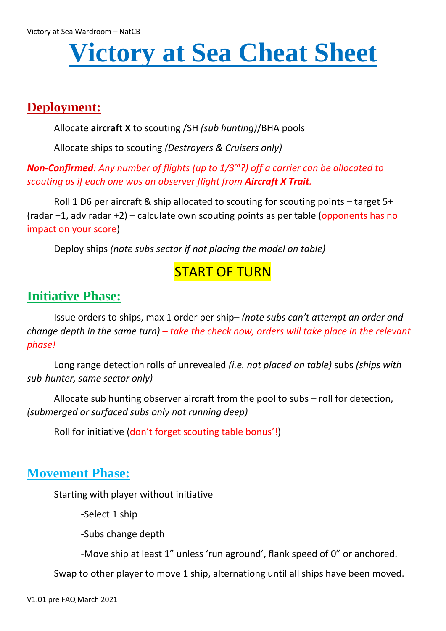# **Victory at Sea Cheat Sheet**

# **Deployment:**

Allocate **aircraft X** to scouting /SH *(sub hunting)*/BHA pools

Allocate ships to scouting *(Destroyers & Cruisers only)*

## *Non-Confirmed: Any number of flights (up to 1/3rd?) off a carrier can be allocated to scouting as if each one was an observer flight from Aircraft X Trait.*

Roll 1 D6 per aircraft & ship allocated to scouting for scouting points – target 5+ (radar  $+1$ , adv radar  $+2$ ) – calculate own scouting points as per table (opponents has no impact on your score)

Deploy ships *(note subs sector if not placing the model on table)*

# START OF TURN

# **Initiative Phase:**

Issue orders to ships, max 1 order per ship– *(note subs can't attempt an order and change depth in the same turn) – take the check now, orders will take place in the relevant phase!*

Long range detection rolls of unrevealed *(i.e. not placed on table)* subs *(ships with sub-hunter, same sector only)*

Allocate sub hunting observer aircraft from the pool to subs – roll for detection, *(submerged or surfaced subs only not running deep)*

Roll for initiative (don't forget scouting table bonus'!)

# **Movement Phase:**

Starting with player without initiative

-Select 1 ship

-Subs change depth

-Move ship at least 1" unless 'run aground', flank speed of 0" or anchored.

Swap to other player to move 1 ship, alternationg until all ships have been moved.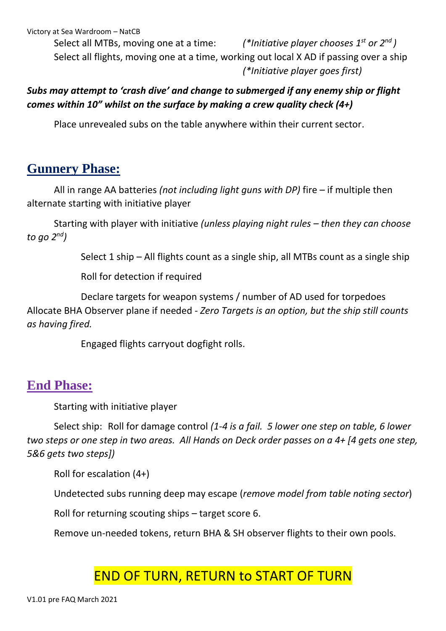Victory at Sea Wardroom – NatCB

Select all MTBs, moving one at a time: *(\*Initiative player chooses 1st or 2nd )* Select all flights, moving one at a time, working out local X AD if passing over a ship *(\*Initiative player goes first)*

## *Subs may attempt to 'crash dive' and change to submerged if any enemy ship or flight comes within 10" whilst on the surface by making a crew quality check (4+)*

Place unrevealed subs on the table anywhere within their current sector.

# **Gunnery Phase:**

All in range AA batteries *(not including light guns with DP)* fire – if multiple then alternate starting with initiative player

Starting with player with initiative *(unless playing night rules – then they can choose to go 2nd)*

Select 1 ship – All flights count as a single ship, all MTBs count as a single ship

Roll for detection if required

Declare targets for weapon systems / number of AD used for torpedoes Allocate BHA Observer plane if needed - *Zero Targets is an option, but the ship still counts as having fired.*

Engaged flights carryout dogfight rolls.

# **End Phase:**

Starting with initiative player

Select ship: Roll for damage control *(1-4 is a fail. 5 lower one step on table, 6 lower two steps or one step in two areas. All Hands on Deck order passes on a 4+ [4 gets one step, 5&6 gets two steps])*

Roll for escalation (4+)

Undetected subs running deep may escape (*remove model from table noting sector*)

Roll for returning scouting ships – target score 6.

Remove un-needed tokens, return BHA & SH observer flights to their own pools.

# END OF TURN, RETURN to START OF TURN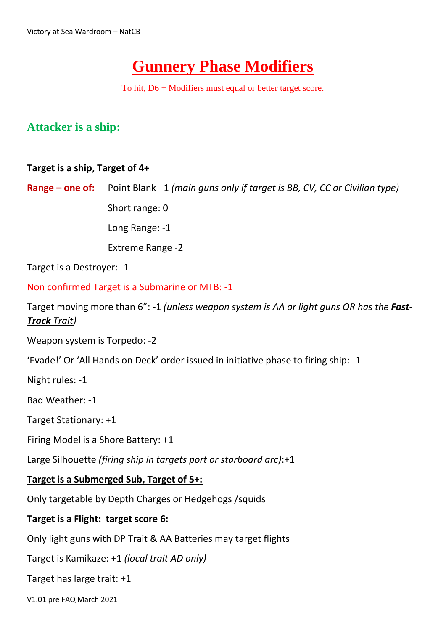# **Gunnery Phase Modifiers**

To hit, D6 + Modifiers must equal or better target score.

## **Attacker is a ship:**

## **Target is a ship, Target of 4+**

**Range – one of:** Point Blank +1 *(main guns only if target is BB, CV, CC or Civilian type)*

Short range: 0

Long Range: -1

Extreme Range -2

Target is a Destroyer: -1

Non confirmed Target is a Submarine or MTB: -1

Target moving more than 6": -1 *(unless weapon system is AA or light guns OR has the Fast-Track Trait)*

Weapon system is Torpedo: -2

'Evade!' Or 'All Hands on Deck' order issued in initiative phase to firing ship: -1

Night rules: -1

Bad Weather: -1

Target Stationary: +1

Firing Model is a Shore Battery: +1

Large Silhouette *(firing ship in targets port or starboard arc)*:+1

## **Target is a Submerged Sub, Target of 5+:**

Only targetable by Depth Charges or Hedgehogs /squids

#### **Target is a Flight: target score 6:**

Only light guns with DP Trait & AA Batteries may target flights

Target is Kamikaze: +1 *(local trait AD only)*

Target has large trait: +1

V1.01 pre FAQ March 2021